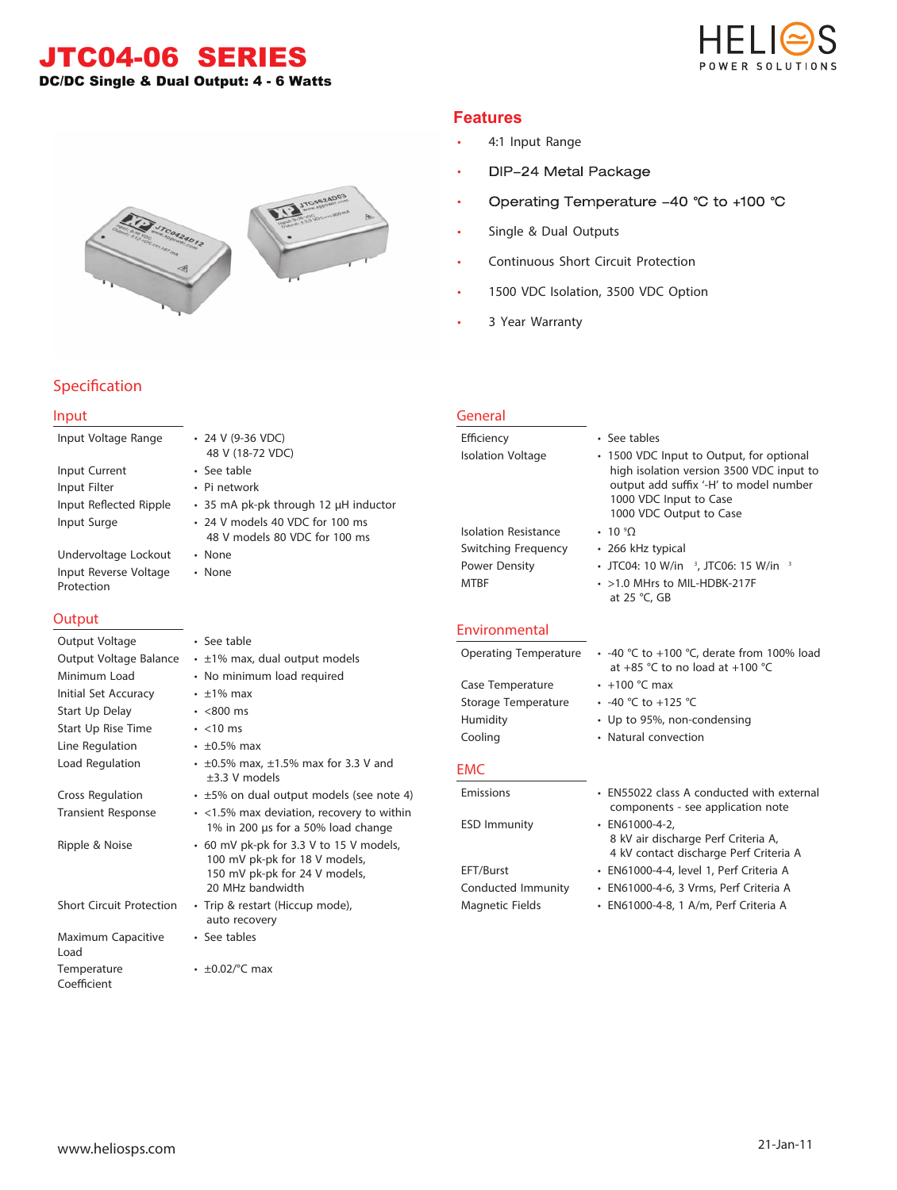JTC04-06 SERIES



DC/DC Single & Dual Output: 4 - 6 Watts



#### **Features**

- 4:1 Input Range
- DIP-24 Metal Package •
- Operating Temperature -40 °C to +100 °C •
- Single & Dual Outputs
- Continuous Short Circuit Protection
- 1500 VDC Isolation, 3500 VDC Option
- 3 Year Warranty

**General**

# **Specification**

#### **Input**

| Input Voltage Range                 | $\cdot$ 24 V (9-36 VDC)<br>48 V (18-72 VDC)                      |
|-------------------------------------|------------------------------------------------------------------|
| Input Current                       | • See table                                                      |
| Input Filter                        | • Pi network                                                     |
| Input Reflected Ripple              | • 35 mA pk-pk through 12 µH inductor                             |
| Input Surge                         | • 24 V models 40 VDC for 100 ms<br>48 V models 80 VDC for 100 ms |
| Undervoltage Lockout                | • None                                                           |
| Input Reverse Voltage<br>Protection | • None                                                           |

## **Output**

| Output Voltage                  | • See table                                                                                                                   |
|---------------------------------|-------------------------------------------------------------------------------------------------------------------------------|
| Output Voltage Balance          | $\cdot$ ±1% max, dual output models                                                                                           |
| Minimum Load                    | • No minimum load required                                                                                                    |
| Initial Set Accuracy            | $\cdot$ ±1% max                                                                                                               |
| Start Up Delay                  | $\cdot$ <800 ms                                                                                                               |
| Start Up Rise Time              | $\cdot$ <10 ms                                                                                                                |
| Line Regulation                 | $\cdot$ ±0.5% max                                                                                                             |
| Load Regulation                 | $\cdot$ ±0.5% max, ±1.5% max for 3.3 V and<br>$+3.3$ V models                                                                 |
| Cross Regulation                | $\cdot$ ±5% on dual output models (see note 4)                                                                                |
| <b>Transient Response</b>       | · <1.5% max deviation, recovery to within<br>1% in 200 µs for a 50% load change                                               |
| Ripple & Noise                  | • 60 mV pk-pk for 3.3 V to 15 V models,<br>100 mV pk-pk for 18 V models,<br>150 mV pk-pk for 24 V models,<br>20 MHz bandwidth |
| <b>Short Circuit Protection</b> | • Trip & restart (Hiccup mode),<br>auto recovery                                                                              |
| Maximum Capacitive<br>Load      | • See tables                                                                                                                  |
|                                 |                                                                                                                               |

## Temperature • ±0.02/°C max

Coefficient

| le<br>лt<br>e | $\cdot$ 24 V (9-36 VDC)<br>48 V (18-72 VDC)<br>• See table<br>• Pi network<br>• 35 mA pk-pk through 12 µH inductor<br>• 24 V models 40 VDC for 100 ms<br>48 V models 80 VDC for 100 ms<br>• None<br>• None | Efficiency<br><b>Isolation Voltage</b><br><b>Isolation Resistance</b><br>Switching Frequency<br>Power Density<br><b>MTBF</b> | • See tables<br>• 1500 VDC Input to Output, for optional<br>high isolation version 3500 VDC input to<br>output add suffix '-H' to model number<br>1000 VDC Input to Case<br>1000 VDC Output to Case<br>$\cdot$ 10 $^{\circ}$ $\Omega$<br>• 266 kHz typical<br>• JTC04: 10 W/in <sup>3</sup> , JTC06: 15 W/in <sup>3</sup><br>• > 1.0 MHrs to MIL-HDBK-217F<br>at 25 °C, GB |
|---------------|------------------------------------------------------------------------------------------------------------------------------------------------------------------------------------------------------------|------------------------------------------------------------------------------------------------------------------------------|----------------------------------------------------------------------------------------------------------------------------------------------------------------------------------------------------------------------------------------------------------------------------------------------------------------------------------------------------------------------------|
|               |                                                                                                                                                                                                            | Environmental                                                                                                                |                                                                                                                                                                                                                                                                                                                                                                            |
|               | • See table                                                                                                                                                                                                |                                                                                                                              |                                                                                                                                                                                                                                                                                                                                                                            |
| nce           | $\cdot$ ±1% max, dual output models                                                                                                                                                                        | <b>Operating Temperature</b>                                                                                                 | $\cdot$ -40 °C to +100 °C, derate from 100% load<br>at +85 °C to no load at +100 °C                                                                                                                                                                                                                                                                                        |
|               | • No minimum load required                                                                                                                                                                                 | Case Temperature                                                                                                             | $\cdot$ +100 °C max                                                                                                                                                                                                                                                                                                                                                        |
|               | $\cdot$ ±1% max                                                                                                                                                                                            | Storage Temperature                                                                                                          | • -40 °C to +125 °C                                                                                                                                                                                                                                                                                                                                                        |
|               | $\cdot$ <800 ms                                                                                                                                                                                            | Humidity                                                                                                                     |                                                                                                                                                                                                                                                                                                                                                                            |
|               | $\cdot$ <10 ms                                                                                                                                                                                             |                                                                                                                              | • Up to 95%, non-condensing                                                                                                                                                                                                                                                                                                                                                |
|               | $\cdot$ ±0.5% max                                                                                                                                                                                          | Cooling                                                                                                                      | • Natural convection                                                                                                                                                                                                                                                                                                                                                       |
|               | $\cdot$ ±0.5% max, ±1.5% max for 3.3 V and<br>$±3.3$ V models                                                                                                                                              | <b>EMC</b>                                                                                                                   |                                                                                                                                                                                                                                                                                                                                                                            |
|               | • ±5% on dual output models (see note 4)                                                                                                                                                                   | Emissions                                                                                                                    | • EN55022 class A conducted with external                                                                                                                                                                                                                                                                                                                                  |
|               | $\cdot$ <1.5% max deviation, recovery to within<br>1% in 200 µs for a 50% load change<br>• 60 mV pk-pk for 3.3 V to 15 V models,<br>100 mV pk-pk for 18 V models,                                          | <b>ESD Immunity</b>                                                                                                          | components - see application note<br>$\cdot$ EN61000-4-2,<br>8 kV air discharge Perf Criteria A,<br>4 kV contact discharge Perf Criteria A                                                                                                                                                                                                                                 |
|               | 150 mV pk-pk for 24 V models,                                                                                                                                                                              | EFT/Burst                                                                                                                    | · EN61000-4-4, level 1, Perf Criteria A                                                                                                                                                                                                                                                                                                                                    |
|               | 20 MHz bandwidth                                                                                                                                                                                           | Conducted Immunity                                                                                                           | · EN61000-4-6, 3 Vrms, Perf Criteria A                                                                                                                                                                                                                                                                                                                                     |
| ion           | • Trip & restart (Hiccup mode),<br>auto recovery                                                                                                                                                           | <b>Magnetic Fields</b>                                                                                                       | • EN61000-4-8, 1 A/m, Perf Criteria A                                                                                                                                                                                                                                                                                                                                      |